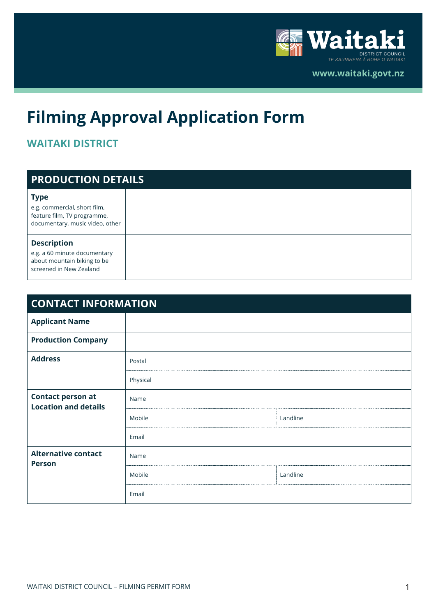

**www.waitaki.govt.nz** 

# **Filming Approval Application Form**

### **WAITAKI DISTRICT**

| <b>PRODUCTION DETAILS</b>                                                                                     |  |
|---------------------------------------------------------------------------------------------------------------|--|
| <b>Type</b><br>e.g. commercial, short film,<br>feature film, TV programme,<br>documentary, music video, other |  |
| <b>Description</b><br>e.g. a 60 minute documentary<br>about mountain biking to be<br>screened in New Zealand  |  |

| <b>CONTACT INFORMATION</b>                              |          |          |
|---------------------------------------------------------|----------|----------|
| <b>Applicant Name</b>                                   |          |          |
| <b>Production Company</b>                               |          |          |
| <b>Address</b>                                          | Postal   |          |
|                                                         | Physical |          |
| <b>Contact person at</b><br><b>Location and details</b> | Name     |          |
|                                                         | Mobile   | Landline |
|                                                         | Email    |          |
| <b>Alternative contact</b><br><b>Person</b>             | Name     |          |
|                                                         | Mobile   | Landline |
|                                                         | Email    |          |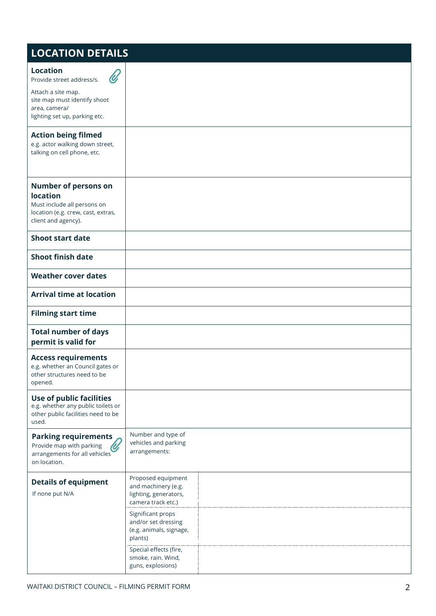### **LOCATION DETAILS**

| <b>Location</b><br>Provide street address/s.                                                                                               |                                                                                          |
|--------------------------------------------------------------------------------------------------------------------------------------------|------------------------------------------------------------------------------------------|
| Attach a site map.<br>site map must identify shoot<br>area, camera/                                                                        |                                                                                          |
| lighting set up, parking etc.                                                                                                              |                                                                                          |
| <b>Action being filmed</b><br>e.g. actor walking down street,<br>talking on cell phone, etc.                                               |                                                                                          |
| <b>Number of persons on</b><br><b>location</b><br>Must include all persons on<br>location (e.g. crew, cast, extras,<br>client and agency). |                                                                                          |
| <b>Shoot start date</b>                                                                                                                    |                                                                                          |
| <b>Shoot finish date</b>                                                                                                                   |                                                                                          |
| <b>Weather cover dates</b>                                                                                                                 |                                                                                          |
| <b>Arrival time at location</b>                                                                                                            |                                                                                          |
| <b>Filming start time</b>                                                                                                                  |                                                                                          |
| <b>Total number of days</b><br>permit is valid for                                                                                         |                                                                                          |
| <b>Access requirements</b><br>e.g. whether an Council gates or<br>other structures need to be<br>opened.                                   |                                                                                          |
| Use of public facilities<br>e.g. whether any public toilets or<br>other public facilities need to be<br>used.                              |                                                                                          |
| <b>Parking requirements</b><br>Provide map with parking<br>arrangements for all vehicles<br>on location.                                   | Number and type of<br>vehicles and parking<br>arrangements:                              |
| <b>Details of equipment</b><br>If none put N/A                                                                                             | Proposed equipment<br>and machinery (e.g.<br>lighting, generators,<br>camera track etc.) |
|                                                                                                                                            | Significant props<br>and/or set dressing<br>(e.g. animals, signage,<br>plants)           |
|                                                                                                                                            | Special effects (fire,<br>smoke, rain. Wind,<br>guns, explosions)                        |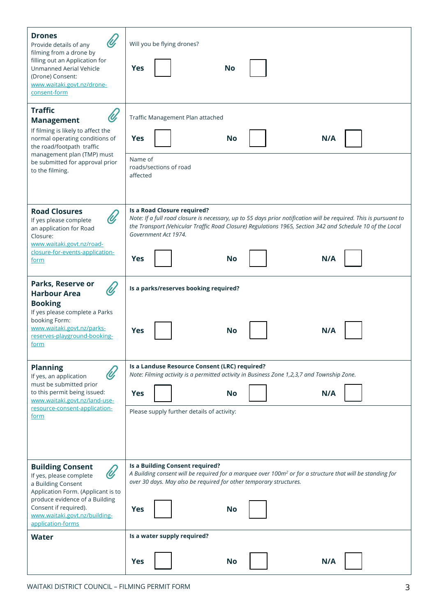| <b>Drones</b><br>Provide details of any<br>filming from a drone by<br>filling out an Application for<br>Unmanned Aerial Vehicle<br>(Drone) Consent:<br>www.waitaki.govt.nz/drone-<br>consent-form                                             | Will you be flying drones?<br><b>Yes</b><br><b>No</b>                                                                                                                                                                                                                                                                   |
|-----------------------------------------------------------------------------------------------------------------------------------------------------------------------------------------------------------------------------------------------|-------------------------------------------------------------------------------------------------------------------------------------------------------------------------------------------------------------------------------------------------------------------------------------------------------------------------|
| <b>Traffic</b><br>$\mathscr{U}$<br><b>Management</b><br>If filming is likely to affect the<br>normal operating conditions of<br>the road/footpath traffic<br>management plan (TMP) must<br>be submitted for approval prior<br>to the filming. | Traffic Management Plan attached<br><b>Yes</b><br><b>No</b><br>N/A<br>Name of<br>roads/sections of road<br>affected                                                                                                                                                                                                     |
| <b>Road Closures</b><br>U,<br>If yes please complete<br>an application for Road<br>Closure:<br>www.waitaki.govt.nz/road-<br>closure-for-events-application-<br><u>form</u>                                                                    | Is a Road Closure required?<br>Note: If a full road closure is necessary, up to 55 days prior notification will be required. This is pursuant to<br>the Transport (Vehicular Traffic Road Closure) Regulations 1965, Section 342 and Schedule 10 of the Local<br>Government Act 1974.<br><b>Yes</b><br><b>No</b><br>N/A |
| Parks, Reserve or<br>U,<br><b>Harbour Area</b><br><b>Booking</b><br>If yes please complete a Parks<br>booking Form:<br>www.waitaki.govt.nz/parks-<br>reserves-playground-booking-<br>form                                                     | Is a parks/reserves booking required?<br><b>Yes</b><br>No<br>N/A                                                                                                                                                                                                                                                        |
| <b>Planning</b><br>If yes, an application<br>must be submitted prior<br>to this permit being issued:<br>www.waitaki.govt.nz/land-use-<br>resource-consent-application-<br>form                                                                | Is a Landuse Resource Consent (LRC) required?<br>Note: Filming activity is a permitted activity in Business Zone 1,2,3,7 and Township Zone.<br><b>Yes</b><br><b>No</b><br>N/A<br>Please supply further details of activity:                                                                                             |
| <b>Building Consent</b><br>U,<br>If yes, please complete<br>a Building Consent<br>Application Form. (Applicant is to<br>produce evidence of a Building<br>Consent if required).<br>www.waitaki.govt.nz/building-<br>application-forms         | Is a Building Consent required?<br>A Building consent will be required for a marquee over 100m <sup>2</sup> or for a structure that will be standing for<br>over 30 days. May also be required for other temporary structures.<br><b>Yes</b><br><b>No</b>                                                               |
| <b>Water</b>                                                                                                                                                                                                                                  | Is a water supply required?                                                                                                                                                                                                                                                                                             |
|                                                                                                                                                                                                                                               | <b>Yes</b><br><b>No</b><br>N/A                                                                                                                                                                                                                                                                                          |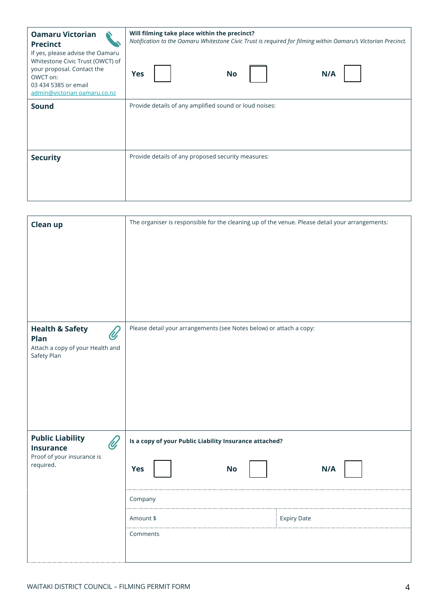| <b>Oamaru Victorian</b><br><b>Precinct</b><br>If yes, please advise the Oamaru<br>Whitestone Civic Trust (OWCT) of<br>your proposal. Contact the<br>OWCT on:<br>03 434 5385 or email<br>admin@victorian oamaru.co.nz | Will filming take place within the precinct?<br>Notification to the Oamaru Whitestone Civic Trust is required for filming within Oamaru's Victorian Precinct.<br>Yes<br><b>No</b><br>N/A |
|----------------------------------------------------------------------------------------------------------------------------------------------------------------------------------------------------------------------|------------------------------------------------------------------------------------------------------------------------------------------------------------------------------------------|
| Sound                                                                                                                                                                                                                | Provide details of any amplified sound or loud noises:                                                                                                                                   |
| <b>Security</b>                                                                                                                                                                                                      | Provide details of any proposed security measures:                                                                                                                                       |

| <b>Clean up</b>                                                                                         | The organiser is responsible for the cleaning up of the venue. Please detail your arrangements:                                                    |
|---------------------------------------------------------------------------------------------------------|----------------------------------------------------------------------------------------------------------------------------------------------------|
| <b>Health &amp; Safety</b><br>$\mathscr{C}$<br>Plan<br>Attach a copy of your Health and<br>Safety Plan  | Please detail your arrangements (see Notes below) or attach a copy:                                                                                |
| <b>Public Liability</b><br>$\mathscr{U}$<br><b>Insurance</b><br>Proof of your insurance is<br>required. | Is a copy of your Public Liability Insurance attached?<br><b>Yes</b><br>N/A<br><b>No</b><br>Company<br>Amount \$<br><b>Expiry Date</b><br>Comments |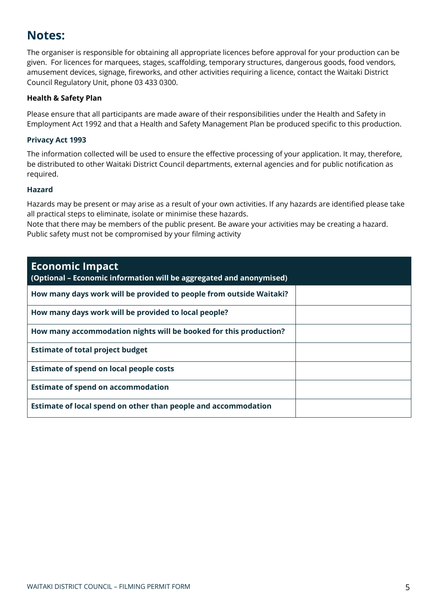### **Notes:**

The organiser is responsible for obtaining all appropriate licences before approval for your production can be given. For licences for marquees, stages, scaffolding, temporary structures, dangerous goods, food vendors, amusement devices, signage, fireworks, and other activities requiring a licence, contact the Waitaki District Council Regulatory Unit, phone 03 433 0300.

#### **Health & Safety Plan**

Please ensure that all participants are made aware of their responsibilities under the Health and Safety in Employment Act 1992 and that a Health and Safety Management Plan be produced specific to this production.

#### **Privacy Act 1993**

The information collected will be used to ensure the effective processing of your application. It may, therefore, be distributed to other Waitaki District Council departments, external agencies and for public notification as required.

#### **Hazard**

Hazards may be present or may arise as a result of your own activities. If any hazards are identified please take all practical steps to eliminate, isolate or minimise these hazards.

Note that there may be members of the public present. Be aware your activities may be creating a hazard. Public safety must not be compromised by your filming activity

| <b>Economic Impact</b><br>(Optional - Economic information will be aggregated and anonymised) |
|-----------------------------------------------------------------------------------------------|
| How many days work will be provided to people from outside Waitaki?                           |
| How many days work will be provided to local people?                                          |
| How many accommodation nights will be booked for this production?                             |
| <b>Estimate of total project budget</b>                                                       |
| <b>Estimate of spend on local people costs</b>                                                |
| <b>Estimate of spend on accommodation</b>                                                     |
| Estimate of local spend on other than people and accommodation                                |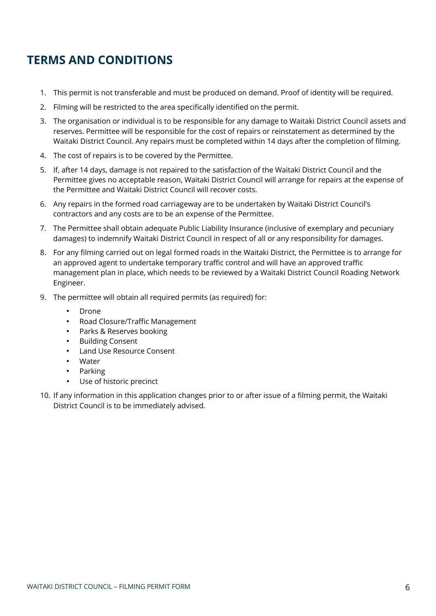## **TERMS AND CONDITIONS**

- 1. This permit is not transferable and must be produced on demand. Proof of identity will be required.
- 2. Filming will be restricted to the area specifically identified on the permit.
- 3. The organisation or individual is to be responsible for any damage to Waitaki District Council assets and reserves. Permittee will be responsible for the cost of repairs or reinstatement as determined by the Waitaki District Council. Any repairs must be completed within 14 days after the completion of filming.
- 4. The cost of repairs is to be covered by the Permittee.
- 5. If, after 14 days, damage is not repaired to the satisfaction of the Waitaki District Council and the Permittee gives no acceptable reason, Waitaki District Council will arrange for repairs at the expense of the Permittee and Waitaki District Council will recover costs.
- 6. Any repairs in the formed road carriageway are to be undertaken by Waitaki District Council's contractors and any costs are to be an expense of the Permittee.
- 7. The Permittee shall obtain adequate Public Liability Insurance (inclusive of exemplary and pecuniary damages) to indemnify Waitaki District Council in respect of all or any responsibility for damages.
- 8. For any filming carried out on legal formed roads in the Waitaki District, the Permittee is to arrange for an approved agent to undertake temporary traffic control and will have an approved traffic management plan in place, which needs to be reviewed by a Waitaki District Council Roading Network Engineer.
- 9. The permittee will obtain all required permits (as required) for:
	- Drone
	- Road Closure/Traffic Management
	- Parks & Reserves booking
	- **Building Consent**
	- Land Use Resource Consent
	- Water
	- Parking
	- Use of historic precinct
- 10. If any information in this application changes prior to or after issue of a filming permit, the Waitaki District Council is to be immediately advised.